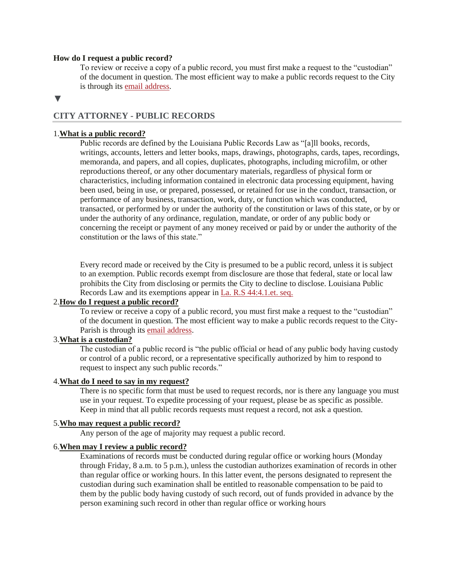#### **How do I request a public record?**

To review or receive a copy of a public record, you must first make a request to the "custodian" of the document in question. The most efficient way to make a public records request to the City is through its email [address.](mailto:mekisha.creal@shreveportla.gov)

#### **▼**

### **CITY ATTORNEY - PUBLIC RECORDS**

### 1.**What is a public [record?](https://www.brla.gov/faq.aspx?qid=321)**

Public records are defined by the Louisiana Public Records Law as "[a]ll books, records, writings, accounts, letters and letter books, maps, drawings, photographs, cards, tapes, recordings, memoranda, and papers, and all copies, duplicates, photographs, including microfilm, or other reproductions thereof, or any other documentary materials, regardless of physical form or characteristics, including information contained in electronic data processing equipment, having been used, being in use, or prepared, possessed, or retained for use in the conduct, transaction, or performance of any business, transaction, work, duty, or function which was conducted, transacted, or performed by or under the authority of the constitution or laws of this state, or by or under the authority of any ordinance, regulation, mandate, or order of any public body or concerning the receipt or payment of any money received or paid by or under the authority of the constitution or the laws of this state."

Every record made or received by the City is presumed to be a public record, unless it is subject to an exemption. Public records exempt from disclosure are those that federal, state or local law prohibits the City from disclosing or permits the City to decline to disclose. Louisiana Public Records Law and its exemptions appear in La. R.S [44:4.1.et.](https://law.justia.com/codes/louisiana/2011/rs/title44/rs44-3/) seq.

## 2.**How do I request a public [record?](https://www.brla.gov/faq.aspx?qid=321)**

To review or receive a copy of a public record, you must first make a request to the "custodian" of the document in question. The most efficient way to make a public records request to the City-Parish is through its email [address.](mailto:mekisha.creal@shreveportla.gov)

## 3.**What is a [custodian?](https://www.brla.gov/faq.aspx?qid=321)**

The custodian of a public record is "the public official or head of any public body having custody or control of a public record, or a representative specifically authorized by him to respond to request to inspect any such public records."

### 4.**What do I need to say in my [request?](https://www.brla.gov/faq.aspx?qid=321)**

There is no specific form that must be used to request records, nor is there any language you must use in your request. To expedite processing of your request, please be as specific as possible. Keep in mind that all public records requests must request a record, not ask a question.

### 5.**Who may request a public [record?](https://www.brla.gov/faq.aspx?qid=321)**

Any person of the age of majority may request a public record.

#### 6.**When may I review a public [record?](https://www.brla.gov/faq.aspx?qid=321)**

Examinations of records must be conducted during regular office or working hours (Monday through Friday, 8 a.m. to 5 p.m.), unless the custodian authorizes examination of records in other than regular office or working hours. In this latter event, the persons designated to represent the custodian during such examination shall be entitled to reasonable compensation to be paid to them by the public body having custody of such record, out of funds provided in advance by the person examining such record in other than regular office or working hours